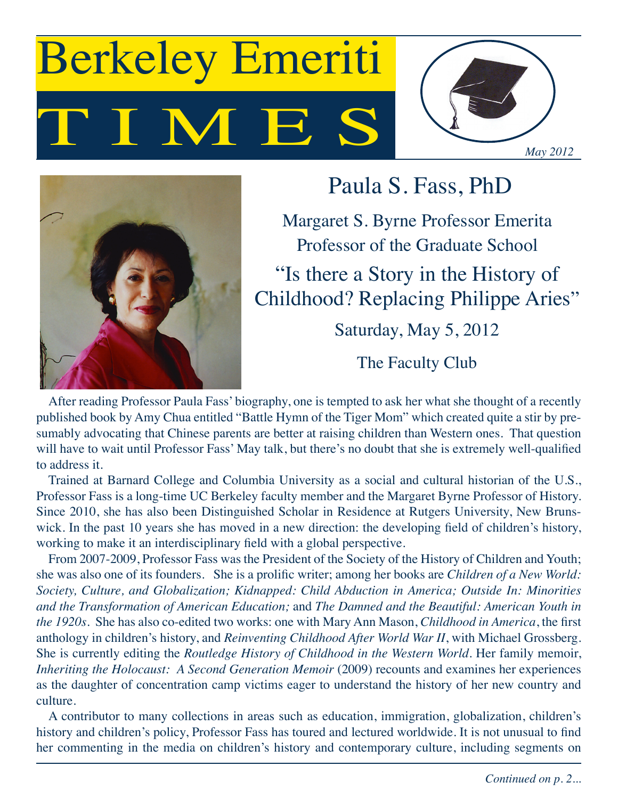# I M E Berkeley Emeriti





Paula S. Fass, PhD

Margaret S. Byrne Professor Emerita Professor of the Graduate School

"Is there a Story in the History of Childhood? Replacing Philippe Aries"

Saturday, May 5, 2012

The Faculty Club

After reading Professor Paula Fass' biography, one is tempted to ask her what she thought of a recently published book by Amy Chua entitled "Battle Hymn of the Tiger Mom" which created quite a stir by presumably advocating that Chinese parents are better at raising children than Western ones. That question will have to wait until Professor Fass' May talk, but there's no doubt that she is extremely well-qualified to address it.

Trained at Barnard College and Columbia University as a social and cultural historian of the U.S., Professor Fass is a long-time UC Berkeley faculty member and the Margaret Byrne Professor of History. Since 2010, she has also been Distinguished Scholar in Residence at Rutgers University, New Brunswick. In the past 10 years she has moved in a new direction: the developing field of children's history, working to make it an interdisciplinary field with a global perspective.

From 2007-2009, Professor Fass was the President of the Society of the History of Children and Youth; she was also one of its founders. She is a prolific writer; among her books are *Children of a New World: Society, Culture, and Globalization; Kidnapped: Child Abduction in America; Outside In: Minorities and the Transformation of American Education;* and *The Damned and the Beautiful: American Youth in the 1920s*. She has also co-edited two works: one with Mary Ann Mason, *Childhood in America*, the first anthology in children's history, and *Reinventing Childhood After World War II*, with Michael Grossberg. She is currently editing the *Routledge History of Childhood in the Western World*. Her family memoir, *Inheriting the Holocaust: A Second Generation Memoir* (2009) recounts and examines her experiences as the daughter of concentration camp victims eager to understand the history of her new country and culture.

A contributor to many collections in areas such as education, immigration, globalization, children's history and children's policy, Professor Fass has toured and lectured worldwide. It is not unusual to find her commenting in the media on children's history and contemporary culture, including segments on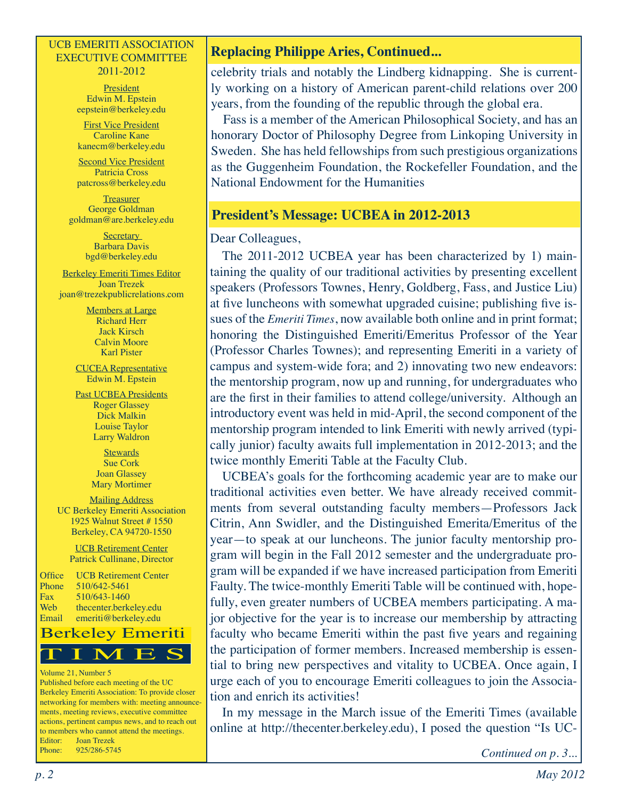#### UCB EMERITI ASSOCIATION EXECUTIVE COMMITTEE 2011-2012

**President** Edwin M. Epstein eepstein@berkeley.edu

First Vice President Caroline Kane kanecm@berkeley.edu

Second Vice President Patricia Cross patcross@berkeley.edu

**Treasurer** George Goldman goldman@are.berkeley.edu

> **Secretary** Barbara Davis bgd@berkeley.edu

Berkeley Emeriti Times Editor Joan Trezek joan@trezekpublicrelations.com

> Members at Large Richard Herr Jack Kirsch Calvin Moore Karl Pister

CUCEA Representative Edwin M. Epstein

Past UCBEA Presidents Roger Glassey Dick Malkin Louise Taylor Larry Waldron

> **Stewards** Sue Cork Joan Glassey Mary Mortimer

Mailing Address UC Berkeley Emeriti Association 1925 Walnut Street # 1550 Berkeley, CA 94720-1550

> UCB Retirement Center Patrick Cullinane, Director

Office UCB Retirement Center Phone 510/642-5461 Fax 510/643-1460<br>Web thecenter.berk thecenter.berkeley.edu Email emeriti@berkeley.edu



#### Volume 21, Number 5

Published before each meeting of the UC Berkeley Emeriti Association: To provide closer networking for members with: meeting announcements, meeting reviews, executive committee actions, pertinent campus news, and to reach out to members who cannot attend the meetings. Editor: Joan Trezek Phone: 925/286-5745

## **Replacing Philippe Aries, Continued...**

celebrity trials and notably the Lindberg kidnapping. She is currently working on a history of American parent-child relations over 200 years, from the founding of the republic through the global era.

Fass is a member of the American Philosophical Society, and has an honorary Doctor of Philosophy Degree from Linkoping University in Sweden. She has held fellowships from such prestigious organizations as the Guggenheim Foundation, the Rockefeller Foundation, and the National Endowment for the Humanities

#### **President's Message: UCBEA in 2012-2013**

#### Dear Colleagues,

The 2011-2012 UCBEA year has been characterized by 1) maintaining the quality of our traditional activities by presenting excellent speakers (Professors Townes, Henry, Goldberg, Fass, and Justice Liu) at five luncheons with somewhat upgraded cuisine; publishing five issues of the *Emeriti Times*, now available both online and in print format; honoring the Distinguished Emeriti/Emeritus Professor of the Year (Professor Charles Townes); and representing Emeriti in a variety of campus and system-wide fora; and 2) innovating two new endeavors: the mentorship program, now up and running, for undergraduates who are the first in their families to attend college/university. Although an introductory event was held in mid-April, the second component of the mentorship program intended to link Emeriti with newly arrived (typically junior) faculty awaits full implementation in 2012-2013; and the twice monthly Emeriti Table at the Faculty Club.

UCBEA's goals for the forthcoming academic year are to make our traditional activities even better. We have already received commitments from several outstanding faculty members—Professors Jack Citrin, Ann Swidler, and the Distinguished Emerita/Emeritus of the year—to speak at our luncheons. The junior faculty mentorship program will begin in the Fall 2012 semester and the undergraduate program will be expanded if we have increased participation from Emeriti Faulty. The twice-monthly Emeriti Table will be continued with, hopefully, even greater numbers of UCBEA members participating. A major objective for the year is to increase our membership by attracting faculty who became Emeriti within the past five years and regaining the participation of former members. Increased membership is essential to bring new perspectives and vitality to UCBEA. Once again, I urge each of you to encourage Emeriti colleagues to join the Association and enrich its activities!

In my message in the March issue of the Emeriti Times (available online at http://thecenter.berkeley.edu), I posed the question "Is UC-

*Continued on p. 3...*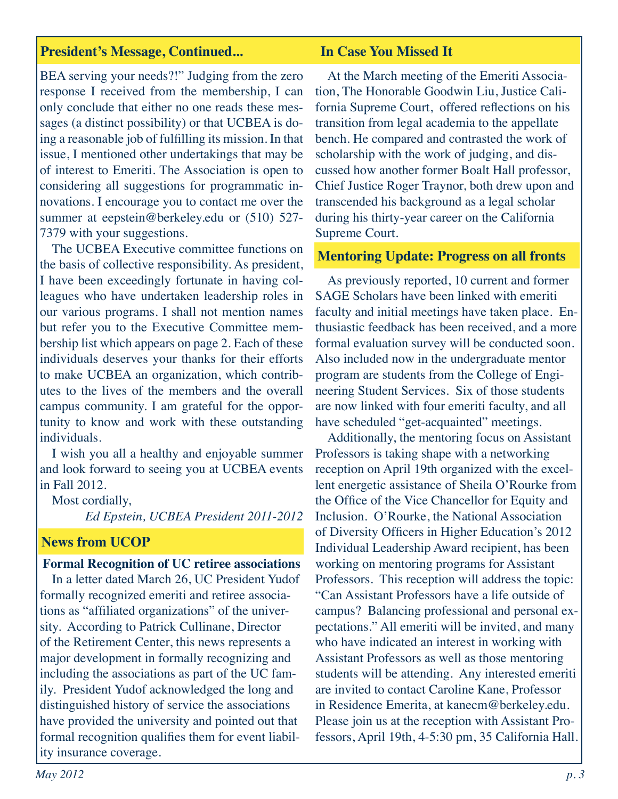#### **President's Message, Continued... In Case You Missed It**

BEA serving your needs?!" Judging from the zero response I received from the membership, I can only conclude that either no one reads these messages (a distinct possibility) or that UCBEA is doing a reasonable job of fulfilling its mission. In that issue, I mentioned other undertakings that may be of interest to Emeriti. The Association is open to considering all suggestions for programmatic innovations. I encourage you to contact me over the summer at eepstein@berkeley.edu or (510) 527-7379 with your suggestions.

The UCBEA Executive committee functions on the basis of collective responsibility. As president, I have been exceedingly fortunate in having colleagues who have undertaken leadership roles in our various programs. I shall not mention names but refer you to the Executive Committee membership list which appears on page 2. Each of these individuals deserves your thanks for their efforts to make UCBEA an organization, which contributes to the lives of the members and the overall campus community. I am grateful for the opportunity to know and work with these outstanding individuals.

I wish you all a healthy and enjoyable summer and look forward to seeing you at UCBEA events in Fall 2012.

Most cordially,

*Ed Epstein, UCBEA President 2011-2012*

### **News from UCOP**

# **Formal Recognition of UC retiree associations**  In a letter dated March 26, UC President Yudof

formally recognized emeriti and retiree associations as "affiliated organizations" of the university. According to Patrick Cullinane, Director of the Retirement Center, this news represents a major development in formally recognizing and including the associations as part of the UC family. President Yudof acknowledged the long and distinguished history of service the associations have provided the university and pointed out that formal recognition qualifies them for event liability insurance coverage.

At the March meeting of the Emeriti Association, The Honorable Goodwin Liu, Justice California Supreme Court, offered reflections on his transition from legal academia to the appellate bench. He compared and contrasted the work of scholarship with the work of judging, and discussed how another former Boalt Hall professor, Chief Justice Roger Traynor, both drew upon and transcended his background as a legal scholar during his thirty-year career on the California Supreme Court.

#### **Mentoring Update: Progress on all fronts**

As previously reported, 10 current and former SAGE Scholars have been linked with emeriti faculty and initial meetings have taken place. Enthusiastic feedback has been received, and a more formal evaluation survey will be conducted soon. Also included now in the undergraduate mentor program are students from the College of Engineering Student Services. Six of those students are now linked with four emeriti faculty, and all have scheduled "get-acquainted" meetings.

Additionally, the mentoring focus on Assistant Professors is taking shape with a networking reception on April 19th organized with the excellent energetic assistance of Sheila O'Rourke from the Office of the Vice Chancellor for Equity and Inclusion. O'Rourke, the National Association of Diversity Officers in Higher Education's 2012 Individual Leadership Award recipient, has been working on mentoring programs for Assistant Professors. This reception will address the topic: "Can Assistant Professors have a life outside of campus? Balancing professional and personal expectations." All emeriti will be invited, and many who have indicated an interest in working with Assistant Professors as well as those mentoring students will be attending. Any interested emeriti are invited to contact Caroline Kane, Professor in Residence Emerita, at kanecm@berkeley.edu. Please join us at the reception with Assistant Professors, April 19th, 4-5:30 pm, 35 California Hall.